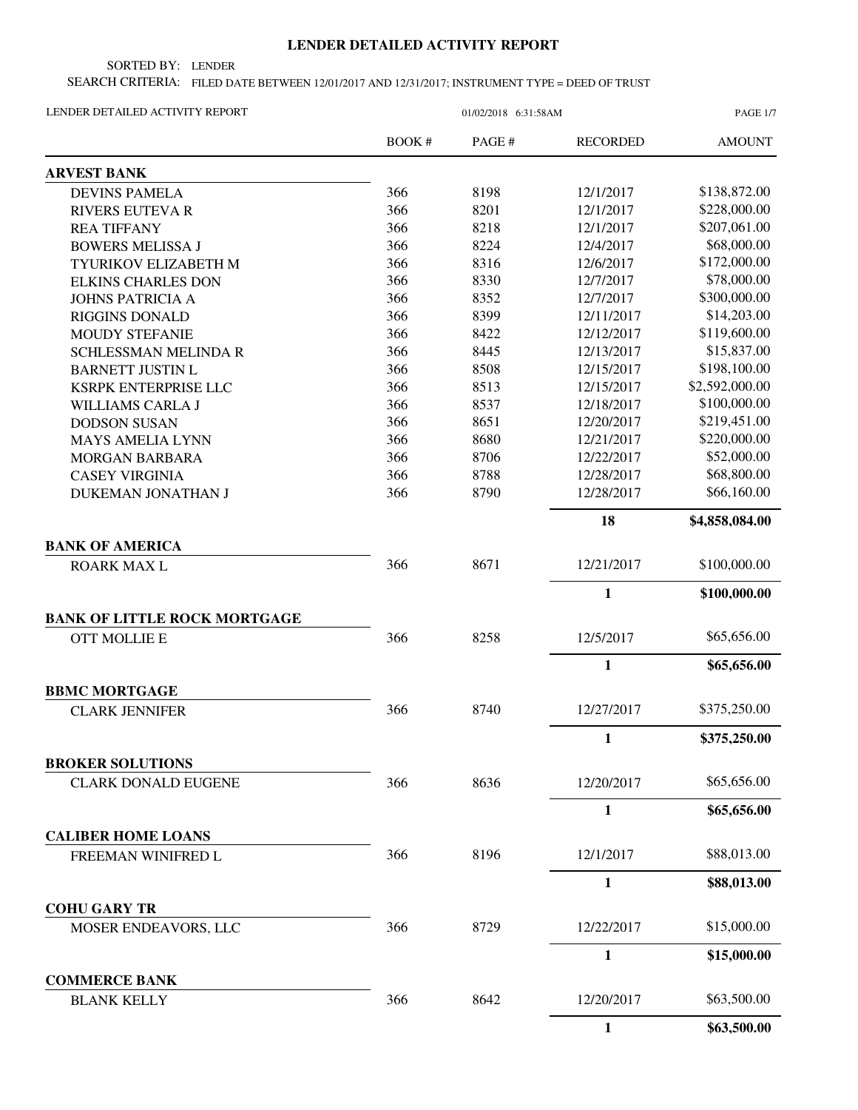## **LENDER DETAILED ACTIVITY REPORT**

SORTED BY: LENDER

SEARCH CRITERIA: FILED DATE BETWEEN 12/01/2017 AND 12/31/2017; INSTRUMENT TYPE = DEED OF TRUST

| LENDER DETAILED ACTIVITY REPORT                       |        | <b>PAGE 1/7</b> |                 |                |
|-------------------------------------------------------|--------|-----------------|-----------------|----------------|
|                                                       | BOOK # | PAGE#           | <b>RECORDED</b> | <b>AMOUNT</b>  |
| <b>ARVEST BANK</b>                                    |        |                 |                 |                |
| <b>DEVINS PAMELA</b>                                  | 366    | 8198            | 12/1/2017       | \$138,872.00   |
| <b>RIVERS EUTEVA R</b>                                | 366    | 8201            | 12/1/2017       | \$228,000.00   |
| <b>REA TIFFANY</b>                                    | 366    | 8218            | 12/1/2017       | \$207,061.00   |
| <b>BOWERS MELISSA J</b>                               | 366    | 8224            | 12/4/2017       | \$68,000.00    |
| TYURIKOV ELIZABETH M                                  | 366    | 8316            | 12/6/2017       | \$172,000.00   |
| <b>ELKINS CHARLES DON</b>                             | 366    | 8330            | 12/7/2017       | \$78,000.00    |
| <b>JOHNS PATRICIA A</b>                               | 366    | 8352            | 12/7/2017       | \$300,000.00   |
| <b>RIGGINS DONALD</b>                                 | 366    | 8399            | 12/11/2017      | \$14,203.00    |
| <b>MOUDY STEFANIE</b>                                 | 366    | 8422            | 12/12/2017      | \$119,600.00   |
| SCHLESSMAN MELINDA R                                  | 366    | 8445            | 12/13/2017      | \$15,837.00    |
| <b>BARNETT JUSTIN L</b>                               | 366    | 8508            | 12/15/2017      | \$198,100.00   |
| <b>KSRPK ENTERPRISE LLC</b>                           | 366    | 8513            | 12/15/2017      | \$2,592,000.00 |
| WILLIAMS CARLA J                                      | 366    | 8537            | 12/18/2017      | \$100,000.00   |
| <b>DODSON SUSAN</b>                                   | 366    | 8651            | 12/20/2017      | \$219,451.00   |
| <b>MAYS AMELIA LYNN</b>                               | 366    | 8680            | 12/21/2017      | \$220,000.00   |
| <b>MORGAN BARBARA</b>                                 | 366    | 8706            | 12/22/2017      | \$52,000.00    |
| <b>CASEY VIRGINIA</b>                                 | 366    | 8788            | 12/28/2017      | \$68,800.00    |
| DUKEMAN JONATHAN J                                    | 366    | 8790            | 12/28/2017      | \$66,160.00    |
|                                                       |        |                 | 18              | \$4,858,084.00 |
| <b>BANK OF AMERICA</b>                                |        |                 |                 |                |
| <b>ROARK MAXL</b>                                     | 366    | 8671            | 12/21/2017      | \$100,000.00   |
|                                                       |        |                 | $\mathbf{1}$    | \$100,000.00   |
| <b>BANK OF LITTLE ROCK MORTGAGE</b>                   |        |                 |                 |                |
| OTT MOLLIE E                                          | 366    | 8258            | 12/5/2017       | \$65,656.00    |
|                                                       |        |                 | 1               | \$65,656.00    |
| <b>BBMC MORTGAGE</b>                                  |        |                 |                 |                |
| <b>CLARK JENNIFER</b>                                 | 366    | 8740            | 12/27/2017      | \$375,250.00   |
|                                                       |        |                 | 1               | \$375,250.00   |
| <b>BROKER SOLUTIONS</b><br><b>CLARK DONALD EUGENE</b> | 366    | 8636            | 12/20/2017      | \$65,656.00    |
|                                                       |        |                 | $\mathbf{1}$    | \$65,656.00    |
| <b>CALIBER HOME LOANS</b>                             |        |                 |                 |                |
|                                                       | 366    | 8196            | 12/1/2017       | \$88,013.00    |
| FREEMAN WINIFRED L                                    |        |                 |                 |                |
|                                                       |        |                 | 1               | \$88,013.00    |
| <b>COHU GARY TR</b>                                   |        |                 |                 |                |
| MOSER ENDEAVORS, LLC                                  | 366    | 8729            | 12/22/2017      | \$15,000.00    |
|                                                       |        |                 | 1               | \$15,000.00    |
| <b>COMMERCE BANK</b><br><b>BLANK KELLY</b>            | 366    | 8642            | 12/20/2017      | \$63,500.00    |
|                                                       |        |                 | 1               | \$63,500.00    |
|                                                       |        |                 |                 |                |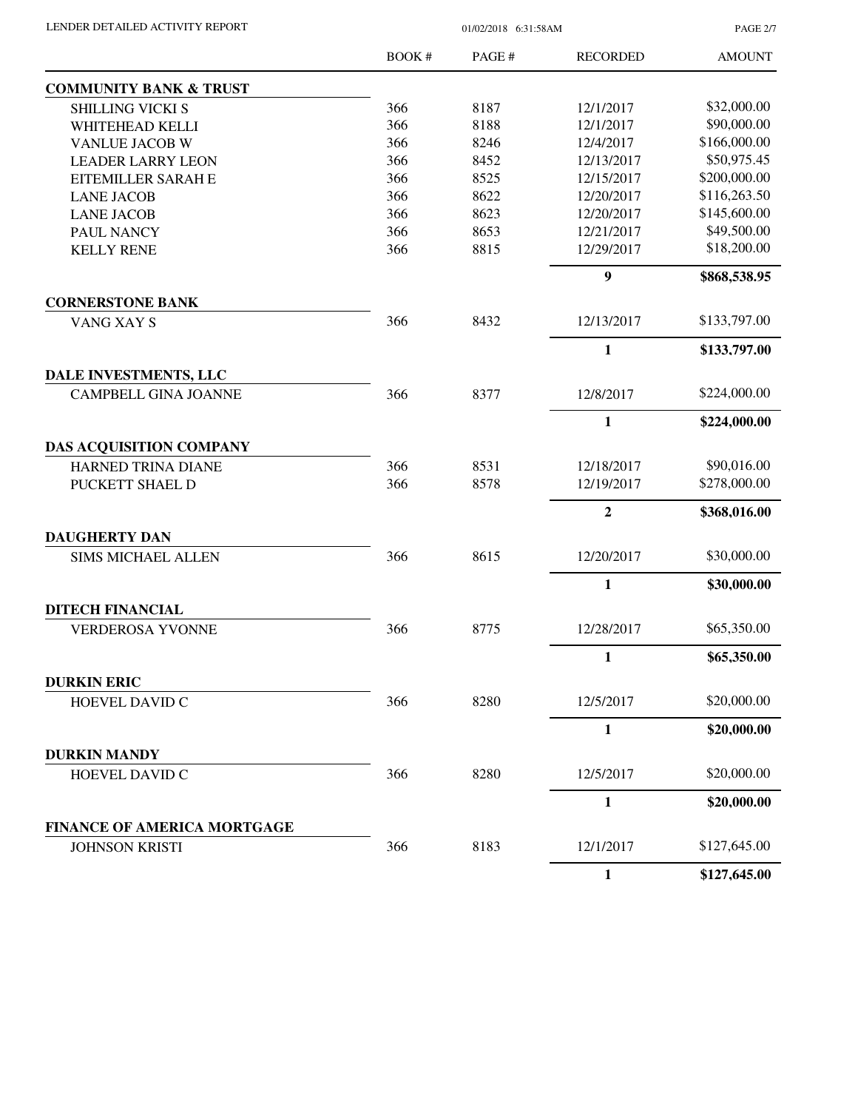| LENDER DETAILED ACTIVITY REPORT |  |
|---------------------------------|--|

 $01/02/2018$  6:31:58AM

PAGE 2/7

|                                   | BOOK # | PAGE# | <b>RECORDED</b>  | <b>AMOUNT</b> |
|-----------------------------------|--------|-------|------------------|---------------|
| <b>COMMUNITY BANK &amp; TRUST</b> |        |       |                  |               |
| <b>SHILLING VICKI S</b>           | 366    | 8187  | 12/1/2017        | \$32,000.00   |
| WHITEHEAD KELLI                   | 366    | 8188  | 12/1/2017        | \$90,000.00   |
| <b>VANLUE JACOB W</b>             | 366    | 8246  | 12/4/2017        | \$166,000.00  |
| <b>LEADER LARRY LEON</b>          | 366    | 8452  | 12/13/2017       | \$50,975.45   |
| EITEMILLER SARAH E                | 366    | 8525  | 12/15/2017       | \$200,000.00  |
| <b>LANE JACOB</b>                 | 366    | 8622  | 12/20/2017       | \$116,263.50  |
| <b>LANE JACOB</b>                 | 366    | 8623  | 12/20/2017       | \$145,600.00  |
| PAUL NANCY                        | 366    | 8653  | 12/21/2017       | \$49,500.00   |
| <b>KELLY RENE</b>                 | 366    | 8815  | 12/29/2017       | \$18,200.00   |
|                                   |        |       | $\boldsymbol{9}$ | \$868,538.95  |
| <b>CORNERSTONE BANK</b>           |        |       |                  |               |
| <b>VANG XAY S</b>                 | 366    | 8432  | 12/13/2017       | \$133,797.00  |
|                                   |        |       | $\mathbf{1}$     | \$133,797.00  |
| DALE INVESTMENTS, LLC             |        |       |                  |               |
| <b>CAMPBELL GINA JOANNE</b>       | 366    | 8377  | 12/8/2017        | \$224,000.00  |
|                                   |        |       | 1                | \$224,000.00  |
| DAS ACQUISITION COMPANY           |        |       |                  |               |
| HARNED TRINA DIANE                | 366    | 8531  | 12/18/2017       | \$90,016.00   |
| PUCKETT SHAEL D                   | 366    | 8578  | 12/19/2017       | \$278,000.00  |
|                                   |        |       | $\overline{2}$   | \$368,016.00  |
| <b>DAUGHERTY DAN</b>              |        |       |                  |               |
| <b>SIMS MICHAEL ALLEN</b>         | 366    | 8615  | 12/20/2017       | \$30,000.00   |
|                                   |        |       | $\mathbf{1}$     | \$30,000.00   |
| <b>DITECH FINANCIAL</b>           |        |       |                  |               |
| <b>VERDEROSA YVONNE</b>           | 366    | 8775  | 12/28/2017       | \$65,350.00   |
|                                   |        |       | 1                | \$65,350.00   |
| <b>DURKIN ERIC</b>                |        |       |                  |               |
| HOEVEL DAVID C                    | 366    | 8280  | 12/5/2017        | \$20,000.00   |
|                                   |        |       | $\mathbf{1}$     | \$20,000.00   |
| <b>DURKIN MANDY</b>               |        |       |                  |               |
| HOEVEL DAVID C                    | 366    | 8280  | 12/5/2017        | \$20,000.00   |
|                                   |        |       | $\mathbf{1}$     | \$20,000.00   |
| FINANCE OF AMERICA MORTGAGE       |        |       |                  |               |
| <b>JOHNSON KRISTI</b>             | 366    | 8183  | 12/1/2017        | \$127,645.00  |
|                                   |        |       | $\mathbf{1}$     | \$127,645.00  |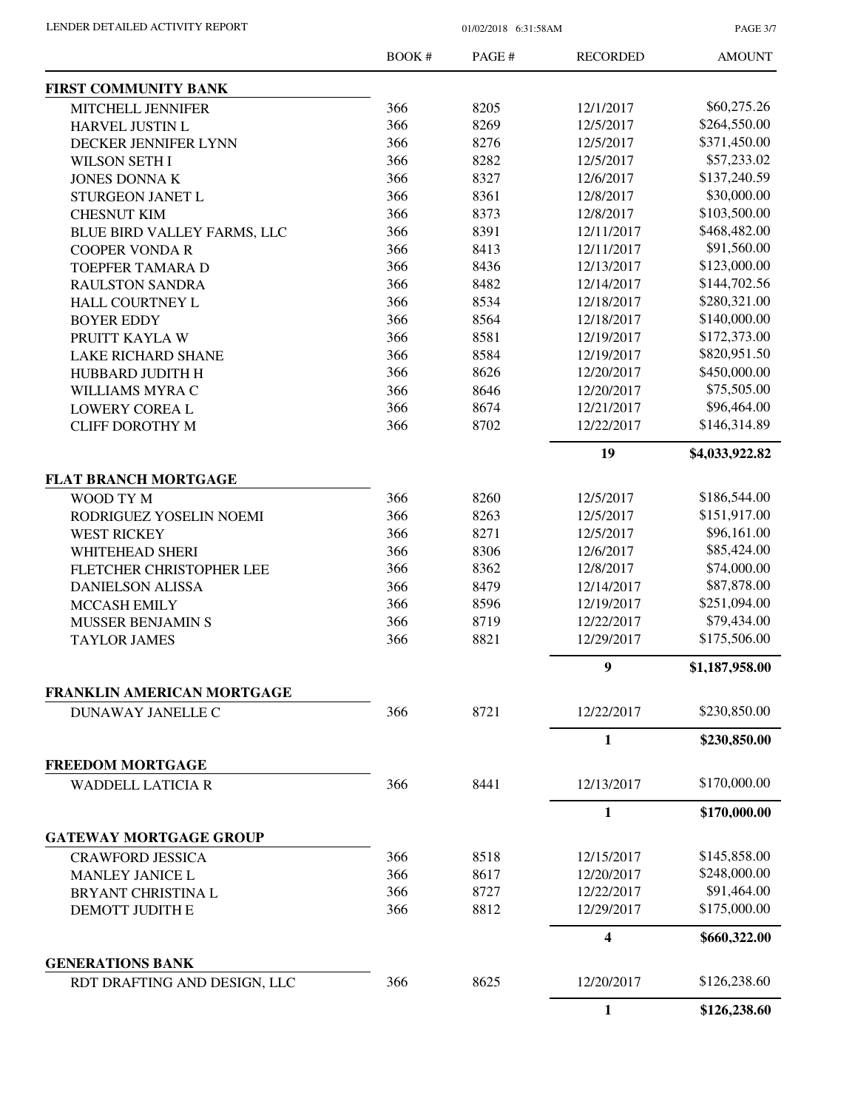PAGE 3/7

|                               | BOOK# | PAGE # | <b>RECORDED</b>  | <b>AMOUNT</b>  |
|-------------------------------|-------|--------|------------------|----------------|
| FIRST COMMUNITY BANK          |       |        |                  |                |
| MITCHELL JENNIFER             | 366   | 8205   | 12/1/2017        | \$60,275.26    |
| HARVEL JUSTIN L               | 366   | 8269   | 12/5/2017        | \$264,550.00   |
| DECKER JENNIFER LYNN          | 366   | 8276   | 12/5/2017        | \$371,450.00   |
| <b>WILSON SETH I</b>          | 366   | 8282   | 12/5/2017        | \$57,233.02    |
| <b>JONES DONNAK</b>           | 366   | 8327   | 12/6/2017        | \$137,240.59   |
| STURGEON JANET L              | 366   | 8361   | 12/8/2017        | \$30,000.00    |
| <b>CHESNUT KIM</b>            | 366   | 8373   | 12/8/2017        | \$103,500.00   |
| BLUE BIRD VALLEY FARMS, LLC   | 366   | 8391   | 12/11/2017       | \$468,482.00   |
| <b>COOPER VONDA R</b>         | 366   | 8413   | 12/11/2017       | \$91,560.00    |
| <b>TOEPFER TAMARA D</b>       | 366   | 8436   | 12/13/2017       | \$123,000.00   |
| <b>RAULSTON SANDRA</b>        | 366   | 8482   | 12/14/2017       | \$144,702.56   |
| HALL COURTNEY L               | 366   | 8534   | 12/18/2017       | \$280,321.00   |
| <b>BOYER EDDY</b>             | 366   | 8564   | 12/18/2017       | \$140,000.00   |
| PRUITT KAYLA W                | 366   | 8581   | 12/19/2017       | \$172,373.00   |
| <b>LAKE RICHARD SHANE</b>     | 366   | 8584   | 12/19/2017       | \$820,951.50   |
| HUBBARD JUDITH H              | 366   | 8626   | 12/20/2017       | \$450,000.00   |
| WILLIAMS MYRA C               | 366   | 8646   | 12/20/2017       | \$75,505.00    |
| <b>LOWERY COREA L</b>         | 366   | 8674   | 12/21/2017       | \$96,464.00    |
| <b>CLIFF DOROTHY M</b>        | 366   | 8702   | 12/22/2017       | \$146,314.89   |
|                               |       |        |                  |                |
|                               |       |        | 19               | \$4,033,922.82 |
| <b>FLAT BRANCH MORTGAGE</b>   |       |        |                  |                |
| WOOD TY M                     | 366   | 8260   | 12/5/2017        | \$186,544.00   |
| RODRIGUEZ YOSELIN NOEMI       | 366   | 8263   | 12/5/2017        | \$151,917.00   |
| <b>WEST RICKEY</b>            | 366   | 8271   | 12/5/2017        | \$96,161.00    |
| WHITEHEAD SHERI               | 366   | 8306   | 12/6/2017        | \$85,424.00    |
| FLETCHER CHRISTOPHER LEE      | 366   | 8362   | 12/8/2017        | \$74,000.00    |
| <b>DANIELSON ALISSA</b>       | 366   | 8479   | 12/14/2017       | \$87,878.00    |
| MCCASH EMILY                  | 366   | 8596   | 12/19/2017       | \$251,094.00   |
| <b>MUSSER BENJAMIN S</b>      | 366   | 8719   | 12/22/2017       | \$79,434.00    |
| <b>TAYLOR JAMES</b>           | 366   | 8821   | 12/29/2017       | \$175,506.00   |
|                               |       |        | $\boldsymbol{Q}$ | \$1,187,958.00 |
| FRANKLIN AMERICAN MORTGAGE    |       |        |                  |                |
| <b>DUNAWAY JANELLE C</b>      | 366   | 8721   | 12/22/2017       | \$230,850.00   |
|                               |       |        | 1                | \$230,850.00   |
| <b>FREEDOM MORTGAGE</b>       |       |        |                  |                |
| <b>WADDELL LATICIA R</b>      | 366   | 8441   | 12/13/2017       | \$170,000.00   |
|                               |       |        | $\mathbf{1}$     | \$170,000.00   |
| <b>GATEWAY MORTGAGE GROUP</b> |       |        |                  |                |
| <b>CRAWFORD JESSICA</b>       | 366   | 8518   | 12/15/2017       | \$145,858.00   |
| <b>MANLEY JANICE L</b>        | 366   | 8617   | 12/20/2017       | \$248,000.00   |
| BRYANT CHRISTINA L            | 366   | 8727   | 12/22/2017       | \$91,464.00    |
| DEMOTT JUDITH E               | 366   | 8812   | 12/29/2017       | \$175,000.00   |
|                               |       |        | $\boldsymbol{4}$ | \$660,322.00   |
| <b>GENERATIONS BANK</b>       |       |        |                  |                |
| RDT DRAFTING AND DESIGN, LLC  | 366   | 8625   | 12/20/2017       | \$126,238.60   |
|                               |       |        | 1                | \$126,238.60   |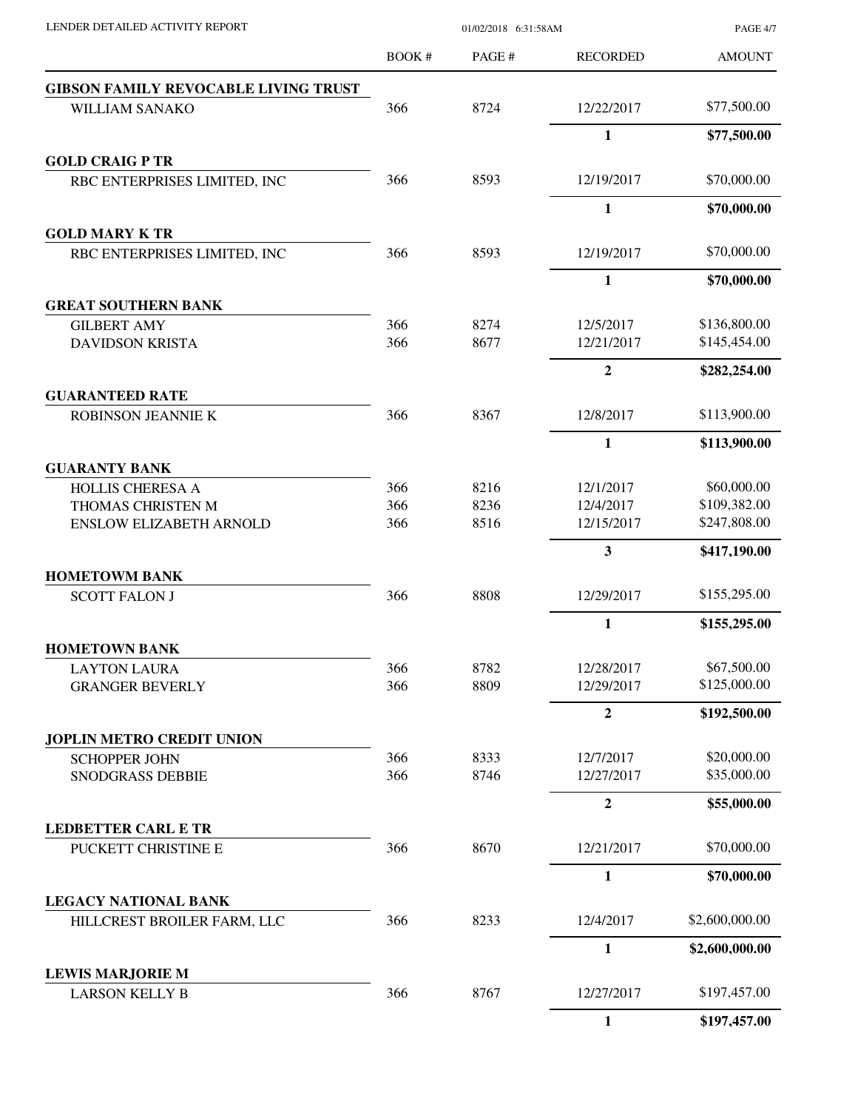| LENDER DETAILED ACTIVITY REPORT                     |              | 01/02/2018 6:31:58AM |                         | <b>PAGE 4/7</b>            |
|-----------------------------------------------------|--------------|----------------------|-------------------------|----------------------------|
|                                                     | <b>BOOK#</b> | PAGE #               | <b>RECORDED</b>         | <b>AMOUNT</b>              |
| <b>GIBSON FAMILY REVOCABLE LIVING TRUST</b>         |              |                      |                         |                            |
| WILLIAM SANAKO                                      | 366          | 8724                 | 12/22/2017              | \$77,500.00                |
|                                                     |              |                      | 1                       | \$77,500.00                |
| <b>GOLD CRAIG P TR</b>                              |              |                      |                         |                            |
| RBC ENTERPRISES LIMITED, INC                        | 366          | 8593                 | 12/19/2017              | \$70,000.00                |
|                                                     |              |                      | 1                       | \$70,000.00                |
| <b>GOLD MARY K TR</b>                               |              |                      |                         |                            |
| RBC ENTERPRISES LIMITED, INC                        | 366          | 8593                 | 12/19/2017              | \$70,000.00                |
|                                                     |              |                      | 1                       | \$70,000.00                |
| <b>GREAT SOUTHERN BANK</b>                          |              |                      |                         |                            |
| <b>GILBERT AMY</b>                                  | 366          | 8274                 | 12/5/2017               | \$136,800.00               |
| <b>DAVIDSON KRISTA</b>                              | 366          | 8677                 | 12/21/2017              | \$145,454.00               |
|                                                     |              |                      | $\boldsymbol{2}$        | \$282,254.00               |
| <b>GUARANTEED RATE</b><br><b>ROBINSON JEANNIE K</b> | 366          | 8367                 | 12/8/2017               | \$113,900.00               |
|                                                     |              |                      | 1                       | \$113,900.00               |
| <b>GUARANTY BANK</b>                                |              |                      |                         |                            |
| HOLLIS CHERESA A                                    | 366          | 8216                 | 12/1/2017               | \$60,000.00                |
| THOMAS CHRISTEN M                                   | 366          | 8236                 | 12/4/2017               | \$109,382.00               |
| <b>ENSLOW ELIZABETH ARNOLD</b>                      | 366          | 8516                 | 12/15/2017              | \$247,808.00               |
|                                                     |              |                      | 3                       | \$417,190.00               |
| <b>HOMETOWM BANK</b>                                |              |                      |                         |                            |
| <b>SCOTT FALON J</b>                                | 366          | 8808                 | 12/29/2017              | \$155,295.00               |
|                                                     |              |                      | 1                       | \$155,295.00               |
| <b>HOMETOWN BANK</b>                                |              |                      |                         |                            |
| <b>LAYTON LAURA</b>                                 | 366          | 8782                 | 12/28/2017              | \$67,500.00                |
| <b>GRANGER BEVERLY</b>                              | 366          | 8809                 | 12/29/2017              | \$125,000.00               |
|                                                     |              |                      | $\overline{2}$          | \$192,500.00               |
| <b>JOPLIN METRO CREDIT UNION</b>                    |              |                      |                         |                            |
| <b>SCHOPPER JOHN</b><br>SNODGRASS DEBBIE            | 366<br>366   | 8333<br>8746         | 12/7/2017<br>12/27/2017 | \$20,000.00<br>\$35,000.00 |
|                                                     |              |                      |                         |                            |
|                                                     |              |                      | $\boldsymbol{2}$        | \$55,000.00                |
| <b>LEDBETTER CARL E TR</b><br>PUCKETT CHRISTINE E   | 366          | 8670                 | 12/21/2017              | \$70,000.00                |
|                                                     |              |                      |                         |                            |
| <b>LEGACY NATIONAL BANK</b>                         |              |                      | 1                       | \$70,000.00                |
| HILLCREST BROILER FARM, LLC                         | 366          | 8233                 | 12/4/2017               | \$2,600,000.00             |
|                                                     |              |                      | 1                       | \$2,600,000.00             |
| <b>LEWIS MARJORIE M</b>                             |              |                      |                         |                            |
| <b>LARSON KELLY B</b>                               | 366          | 8767                 | 12/27/2017              | \$197,457.00               |
|                                                     |              |                      | 1                       | \$197,457.00               |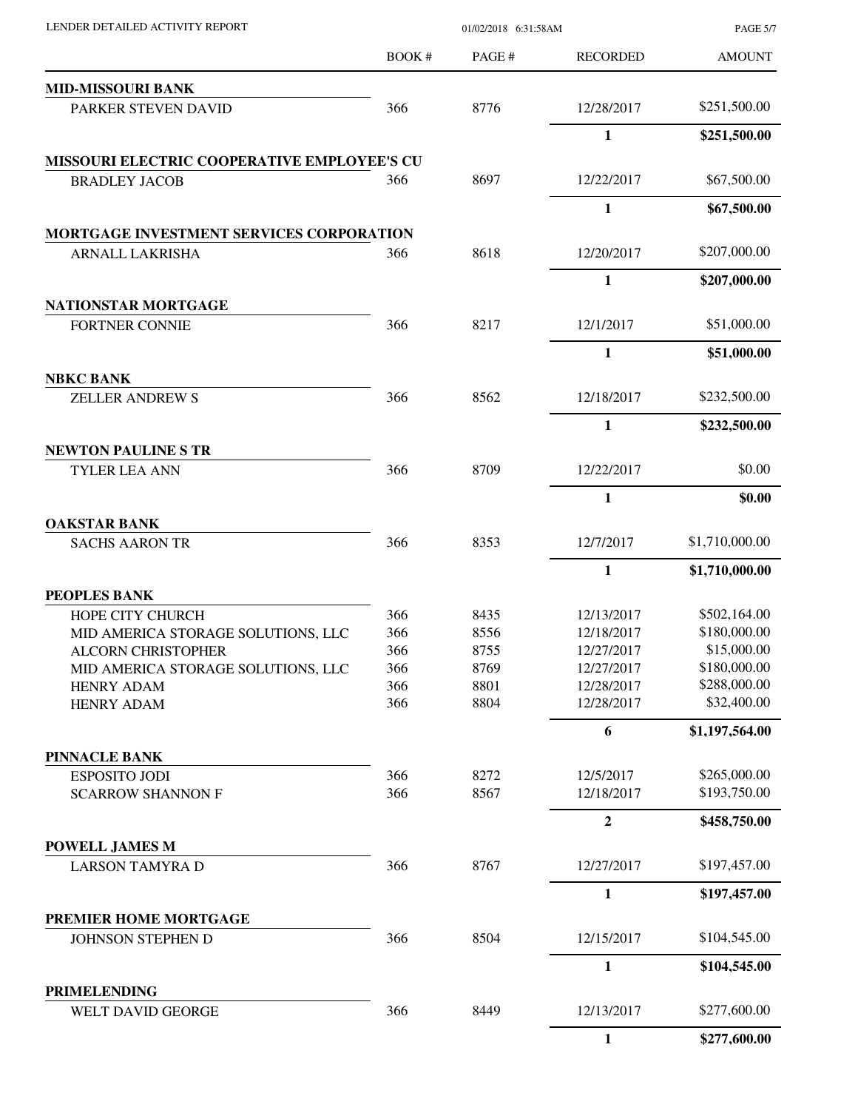| LENDER DETAILED ACTIVITY REPORT             |        | 01/02/2018 6:31:58AM | <b>PAGE 5/7</b> |                |
|---------------------------------------------|--------|----------------------|-----------------|----------------|
|                                             | BOOK # | PAGE#                | <b>RECORDED</b> | <b>AMOUNT</b>  |
| <b>MID-MISSOURI BANK</b>                    |        |                      |                 |                |
| PARKER STEVEN DAVID                         | 366    | 8776                 | 12/28/2017      | \$251,500.00   |
|                                             |        |                      | 1               | \$251,500.00   |
| MISSOURI ELECTRIC COOPERATIVE EMPLOYEE'S CU |        |                      |                 |                |
| <b>BRADLEY JACOB</b>                        | 366    | 8697                 | 12/22/2017      | \$67,500.00    |
|                                             |        |                      | $\mathbf{1}$    | \$67,500.00    |
| MORTGAGE INVESTMENT SERVICES CORPORATION    |        |                      |                 |                |
| ARNALL LAKRISHA                             | 366    | 8618                 | 12/20/2017      | \$207,000.00   |
|                                             |        |                      | 1               | \$207,000.00   |
| NATIONSTAR MORTGAGE                         |        |                      |                 |                |
| <b>FORTNER CONNIE</b>                       | 366    | 8217                 | 12/1/2017       | \$51,000.00    |
|                                             |        |                      |                 |                |
|                                             |        |                      | 1               | \$51,000.00    |
| <b>NBKC BANK</b>                            |        |                      |                 |                |
| <b>ZELLER ANDREW S</b>                      | 366    | 8562                 | 12/18/2017      | \$232,500.00   |
|                                             |        |                      | $\mathbf{1}$    | \$232,500.00   |
| <b>NEWTON PAULINE S TR</b>                  |        |                      |                 |                |
| <b>TYLER LEA ANN</b>                        | 366    | 8709                 | 12/22/2017      | \$0.00         |
|                                             |        |                      | 1               | \$0.00         |
| <b>OAKSTAR BANK</b>                         |        |                      |                 |                |
| <b>SACHS AARON TR</b>                       | 366    | 8353                 | 12/7/2017       | \$1,710,000.00 |
|                                             |        |                      | 1               | \$1,710,000.00 |
| PEOPLES BANK                                |        |                      |                 |                |
| HOPE CITY CHURCH                            | 366    | 8435                 | 12/13/2017      | \$502,164.00   |
| MID AMERICA STORAGE SOLUTIONS, LLC          | 366    | 8556                 | 12/18/2017      | \$180,000.00   |
| ALCORN CHRISTOPHER                          | 366    | 8755                 | 12/27/2017      | \$15,000.00    |
| MID AMERICA STORAGE SOLUTIONS, LLC          | 366    | 8769                 | 12/27/2017      | \$180,000.00   |
| <b>HENRY ADAM</b>                           | 366    | 8801                 | 12/28/2017      | \$288,000.00   |
| <b>HENRY ADAM</b>                           | 366    | 8804                 | 12/28/2017      | \$32,400.00    |
|                                             |        |                      | 6               | \$1,197,564.00 |
| <b>PINNACLE BANK</b>                        |        |                      |                 |                |
| <b>ESPOSITO JODI</b>                        | 366    | 8272                 | 12/5/2017       | \$265,000.00   |
| <b>SCARROW SHANNON F</b>                    | 366    | 8567                 | 12/18/2017      | \$193,750.00   |
|                                             |        |                      | $\overline{2}$  | \$458,750.00   |
| POWELL JAMES M                              |        |                      |                 |                |
| <b>LARSON TAMYRA D</b>                      | 366    | 8767                 | 12/27/2017      | \$197,457.00   |
|                                             |        |                      |                 |                |
|                                             |        |                      | $\mathbf{1}$    | \$197,457.00   |
| PREMIER HOME MORTGAGE                       |        |                      |                 |                |
| JOHNSON STEPHEN D                           | 366    | 8504                 | 12/15/2017      | \$104,545.00   |
|                                             |        |                      | 1               | \$104,545.00   |
| <b>PRIMELENDING</b>                         |        |                      |                 |                |
| WELT DAVID GEORGE                           | 366    | 8449                 | 12/13/2017      | \$277,600.00   |
|                                             |        |                      | $\mathbf{1}$    | \$277,600.00   |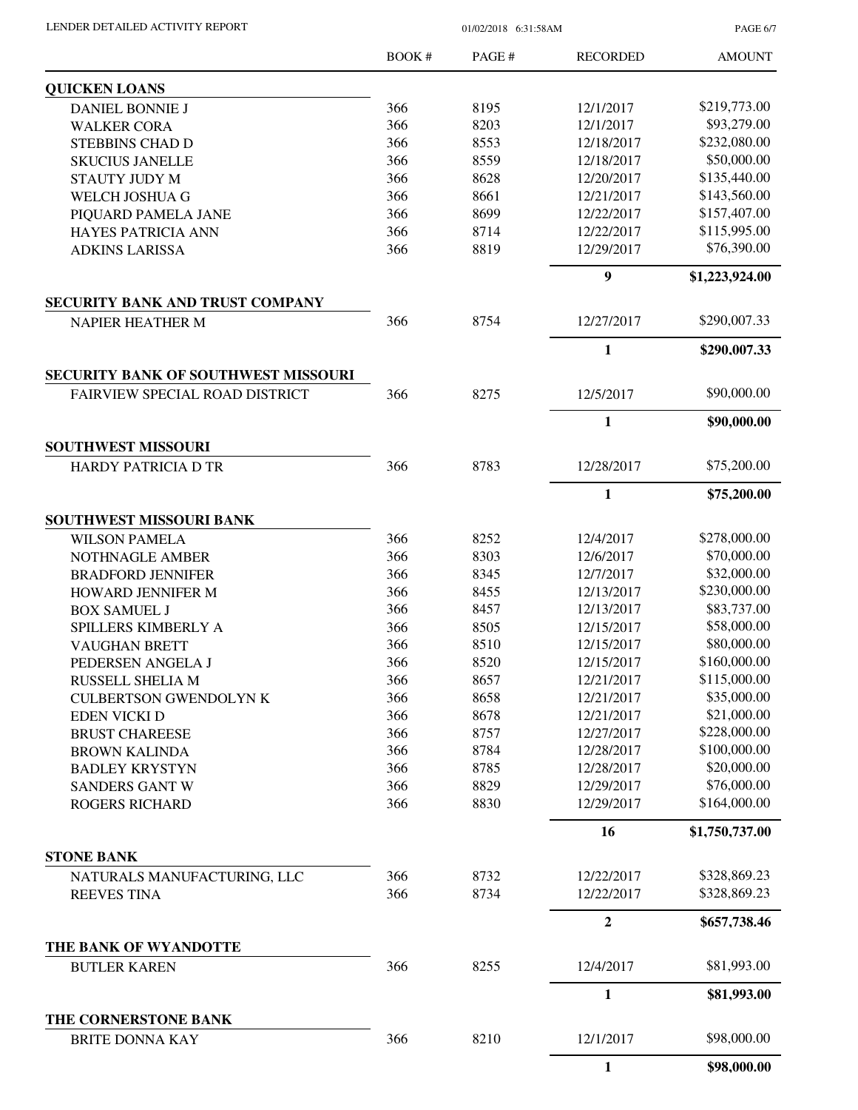| LENDER DETAILED ACTIVITY REPORT |  |
|---------------------------------|--|
|                                 |  |

01/02/2018 6:31:58AM

PAGE 6/7

|                                                         | <b>BOOK#</b> | PAGE# | <b>RECORDED</b>  | <b>AMOUNT</b>  |
|---------------------------------------------------------|--------------|-------|------------------|----------------|
| <b>QUICKEN LOANS</b>                                    |              |       |                  |                |
| <b>DANIEL BONNIE J</b>                                  | 366          | 8195  | 12/1/2017        | \$219,773.00   |
| <b>WALKER CORA</b>                                      | 366          | 8203  | 12/1/2017        | \$93,279.00    |
| STEBBINS CHAD D                                         | 366          | 8553  | 12/18/2017       | \$232,080.00   |
| <b>SKUCIUS JANELLE</b>                                  | 366          | 8559  | 12/18/2017       | \$50,000.00    |
| STAUTY JUDY M                                           | 366          | 8628  | 12/20/2017       | \$135,440.00   |
| WELCH JOSHUA G                                          | 366          | 8661  | 12/21/2017       | \$143,560.00   |
| PIQUARD PAMELA JANE                                     | 366          | 8699  | 12/22/2017       | \$157,407.00   |
| <b>HAYES PATRICIA ANN</b>                               | 366          | 8714  | 12/22/2017       | \$115,995.00   |
| <b>ADKINS LARISSA</b>                                   | 366          | 8819  | 12/29/2017       | \$76,390.00    |
|                                                         |              |       | 9                | \$1,223,924.00 |
| <b>SECURITY BANK AND TRUST COMPANY</b>                  |              |       |                  |                |
| <b>NAPIER HEATHER M</b>                                 | 366          | 8754  | 12/27/2017       | \$290,007.33   |
|                                                         |              |       | $\mathbf{1}$     | \$290,007.33   |
| <b>SECURITY BANK OF SOUTHWEST MISSOURI</b>              |              |       |                  |                |
| <b>FAIRVIEW SPECIAL ROAD DISTRICT</b>                   | 366          | 8275  | 12/5/2017        | \$90,000.00    |
|                                                         |              |       | $\mathbf{1}$     | \$90,000.00    |
| <b>SOUTHWEST MISSOURI</b><br><b>HARDY PATRICIA D TR</b> | 366          | 8783  | 12/28/2017       | \$75,200.00    |
|                                                         |              |       | $\mathbf{1}$     | \$75,200.00    |
| SOUTHWEST MISSOURI BANK                                 |              |       |                  |                |
| <b>WILSON PAMELA</b>                                    | 366          | 8252  | 12/4/2017        | \$278,000.00   |
| NOTHNAGLE AMBER                                         | 366          | 8303  | 12/6/2017        | \$70,000.00    |
| <b>BRADFORD JENNIFER</b>                                | 366          | 8345  | 12/7/2017        | \$32,000.00    |
| HOWARD JENNIFER M                                       | 366          | 8455  | 12/13/2017       | \$230,000.00   |
| <b>BOX SAMUEL J</b>                                     | 366          | 8457  | 12/13/2017       | \$83,737.00    |
| SPILLERS KIMBERLY A                                     | 366          | 8505  | 12/15/2017       | \$58,000.00    |
| <b>VAUGHAN BRETT</b>                                    | 366          | 8510  | 12/15/2017       | \$80,000.00    |
|                                                         | 366          | 8520  | 12/15/2017       | \$160,000.00   |
| PEDERSEN ANGELA J                                       | 366          | 8657  | 12/21/2017       | \$115,000.00   |
| <b>RUSSELL SHELIA M</b>                                 |              |       |                  | \$35,000.00    |
| <b>CULBERTSON GWENDOLYN K</b>                           | 366          | 8658  | 12/21/2017       |                |
| <b>EDEN VICKI D</b>                                     | 366          | 8678  | 12/21/2017       | \$21,000.00    |
| <b>BRUST CHAREESE</b>                                   | 366          | 8757  | 12/27/2017       | \$228,000.00   |
| <b>BROWN KALINDA</b>                                    | 366          | 8784  | 12/28/2017       | \$100,000.00   |
| <b>BADLEY KRYSTYN</b>                                   | 366          | 8785  | 12/28/2017       | \$20,000.00    |
| <b>SANDERS GANT W</b>                                   | 366          | 8829  | 12/29/2017       | \$76,000.00    |
| <b>ROGERS RICHARD</b>                                   | 366          | 8830  | 12/29/2017       | \$164,000.00   |
|                                                         |              |       | 16               | \$1,750,737.00 |
| <b>STONE BANK</b>                                       |              |       |                  |                |
| NATURALS MANUFACTURING, LLC                             | 366          | 8732  | 12/22/2017       | \$328,869.23   |
| <b>REEVES TINA</b>                                      | 366          | 8734  | 12/22/2017       | \$328,869.23   |
|                                                         |              |       | $\boldsymbol{2}$ | \$657,738.46   |
| THE BANK OF WYANDOTTE<br><b>BUTLER KAREN</b>            | 366          | 8255  | 12/4/2017        | \$81,993.00    |
|                                                         |              |       | $\mathbf{1}$     | \$81,993.00    |
| THE CORNERSTONE BANK                                    |              |       |                  |                |
| <b>BRITE DONNA KAY</b>                                  | 366          | 8210  | 12/1/2017        | \$98,000.00    |
|                                                         |              |       | $\mathbf{1}$     | \$98,000.00    |